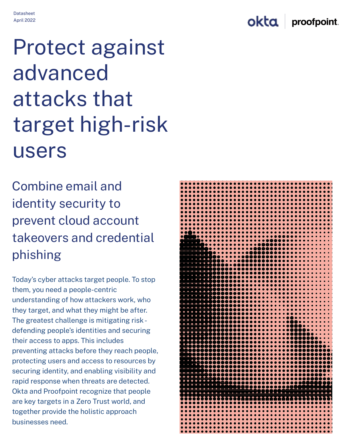okta proofpoint.

# **Protect against** advanced attacks that target high-risk **USErs**

Combine email and identity security to prevent cloud account takeovers and credential phishing

Today's cyber attacks target people. To stop them, you need a people-centric understanding of how attackers work, who they target, and what they might be after. The greatest challenge is mitigating risk defending people's identities and securing their access to apps. This includes preventing attacks before they reach people, protecting users and access to resources by securing identity, and enabling visibility and rapid response when threats are detected. Okta and Proofpoint recognize that people are key targets in a Zero Trust world, and together provide the holistic approach businesses need.

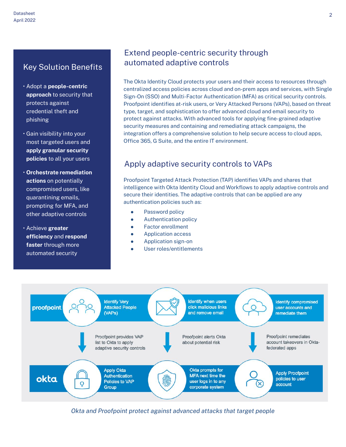# **Key Solution Benefits**

- · Adopt a people-centric approach to security that protects against credential theft and phishing
- · Gain visibility into your most targeted users and apply granular security policies to all your users
- Orchestrate remediation actions on potentially compromised users, like quarantining emails, prompting for MFA, and other adaptive controls
- · Achieve greater efficiency and respond faster through more automated security

# Extend people-centric security through automated adaptive controls

The Okta Identity Cloud protects your users and their access to resources through centralized access policies across cloud and on-prem apps and services, with Single Sign-On (SSO) and Multi-Factor Authentication (MFA) as critical security controls. Proofpoint identifies at-risk users, or Very Attacked Persons (VAPs), based on threat type, target, and sophistication to offer advanced cloud and email security to protect against attacks. With advanced tools for applying fine-grained adaptive security measures and containing and remediating attack campaigns, the integration offers a comprehensive solution to help secure access to cloud apps, Office 365, G Suite, and the entire IT environment.

# Apply adaptive security controls to VAPs

Proofpoint Targeted Attack Protection (TAP) identifies VAPs and shares that intelligence with Okta Identity Cloud and Workflows to apply adaptive controls and secure their identities. The adaptive controls that can be applied are any authentication policies such as:

- Password policy
- Authentication policy
- **Factor enrollment**
- **Application access**
- Application sign-on
- User roles/entitlements



Okta and Proofpoint protect against advanced attacks that target people